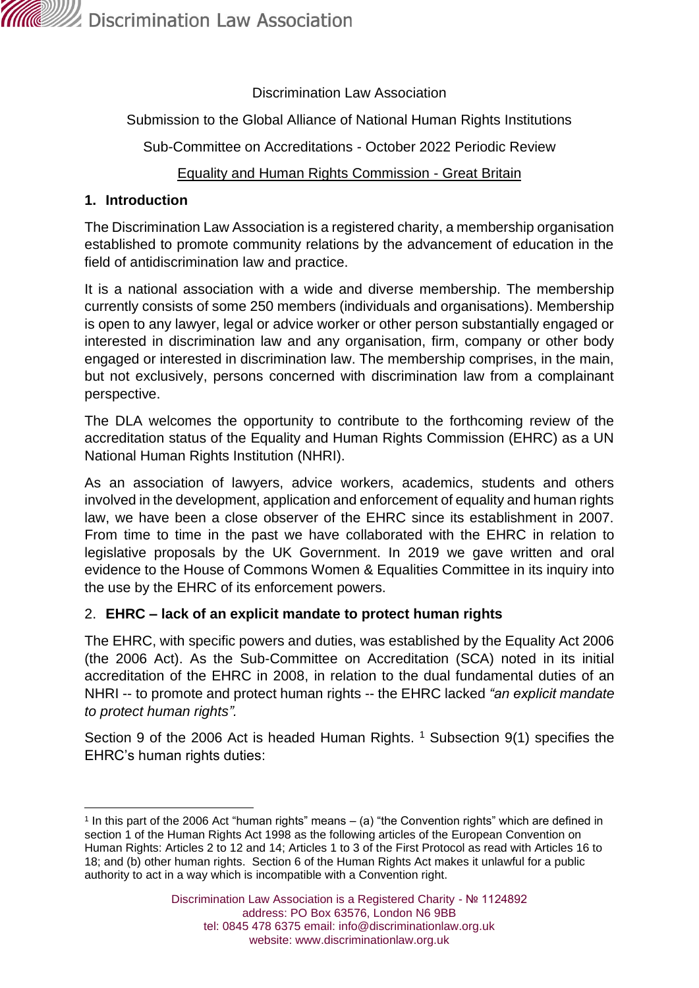

Discrimination Law Association

### Submission to the Global Alliance of National Human Rights Institutions

Sub-Committee on Accreditations - October 2022 Periodic Review

## Equality and Human Rights Commission - Great Britain

#### **1. Introduction**

The Discrimination Law Association is a registered charity, a membership organisation established to promote community relations by the advancement of education in the field of antidiscrimination law and practice.

It is a national association with a wide and diverse membership. The membership currently consists of some 250 members (individuals and organisations). Membership is open to any lawyer, legal or advice worker or other person substantially engaged or interested in discrimination law and any organisation, firm, company or other body engaged or interested in discrimination law. The membership comprises, in the main, but not exclusively, persons concerned with discrimination law from a complainant perspective.

The DLA welcomes the opportunity to contribute to the forthcoming review of the accreditation status of the Equality and Human Rights Commission (EHRC) as a UN National Human Rights Institution (NHRI).

As an association of lawyers, advice workers, academics, students and others involved in the development, application and enforcement of equality and human rights law, we have been a close observer of the EHRC since its establishment in 2007. From time to time in the past we have collaborated with the EHRC in relation to legislative proposals by the UK Government. In 2019 we gave written and oral evidence to the House of Commons Women & Equalities Committee in its inquiry into the use by the EHRC of its enforcement powers.

## 2. **EHRC – lack of an explicit mandate to protect human rights**

The EHRC, with specific powers and duties, was established by the Equality Act 2006 (the 2006 Act). As the Sub-Committee on Accreditation (SCA) noted in its initial accreditation of the EHRC in 2008, in relation to the dual fundamental duties of an NHRI -- to promote and protect human rights -- the EHRC lacked *"an explicit mandate to protect human rights".*

Section 9 of the 2006 Act is headed Human Rights. <sup>1</sup> Subsection 9(1) specifies the EHRC's human rights duties:

<sup>1</sup> In this part of the 2006 Act "human rights" means – (a) "the Convention rights" which are defined in section 1 of the Human Rights Act 1998 as the following articles of the European Convention on Human Rights: Articles 2 to 12 and 14; Articles 1 to 3 of the First Protocol as read with Articles 16 to 18; and (b) other human rights. Section 6 of the Human Rights Act makes it unlawful for a public authority to act in a way which is incompatible with a Convention right.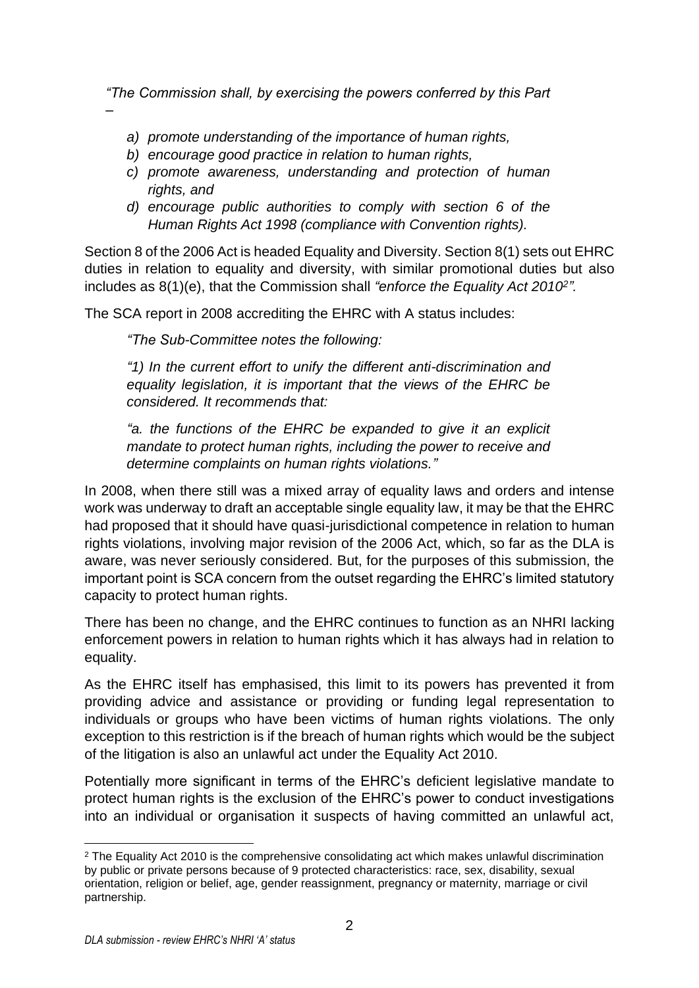*"The Commission shall, by exercising the powers conferred by this Part* 

- *a) promote understanding of the importance of human rights,*
- *b) encourage good practice in relation to human rights,*
- *c) promote awareness, understanding and protection of human rights, and*
- *d) encourage public authorities to comply with section 6 of the Human Rights Act 1998 (compliance with Convention rights).*

Section 8 of the 2006 Act is headed Equality and Diversity. Section 8(1) sets out EHRC duties in relation to equality and diversity, with similar promotional duties but also includes as 8(1)(e), that the Commission shall *"enforce the Equality Act 2010<sup>2</sup> ".*

The SCA report in 2008 accrediting the EHRC with A status includes:

*"The Sub-Committee notes the following:*

*–*

*"1) In the current effort to unify the different anti-discrimination and equality legislation, it is important that the views of the EHRC be considered. It recommends that:*

*"a. the functions of the EHRC be expanded to give it an explicit mandate to protect human rights, including the power to receive and determine complaints on human rights violations."*

In 2008, when there still was a mixed array of equality laws and orders and intense work was underway to draft an acceptable single equality law, it may be that the EHRC had proposed that it should have quasi-jurisdictional competence in relation to human rights violations, involving major revision of the 2006 Act, which, so far as the DLA is aware, was never seriously considered. But, for the purposes of this submission, the important point is SCA concern from the outset regarding the EHRC's limited statutory capacity to protect human rights.

There has been no change, and the EHRC continues to function as an NHRI lacking enforcement powers in relation to human rights which it has always had in relation to equality.

As the EHRC itself has emphasised, this limit to its powers has prevented it from providing advice and assistance or providing or funding legal representation to individuals or groups who have been victims of human rights violations. The only exception to this restriction is if the breach of human rights which would be the subject of the litigation is also an unlawful act under the Equality Act 2010.

Potentially more significant in terms of the EHRC's deficient legislative mandate to protect human rights is the exclusion of the EHRC's power to conduct investigations into an individual or organisation it suspects of having committed an unlawful act,

 $2$  The Equality Act 2010 is the comprehensive consolidating act which makes unlawful discrimination by public or private persons because of 9 protected characteristics: race, sex, disability, sexual orientation, religion or belief, age, gender reassignment, pregnancy or maternity, marriage or civil partnership.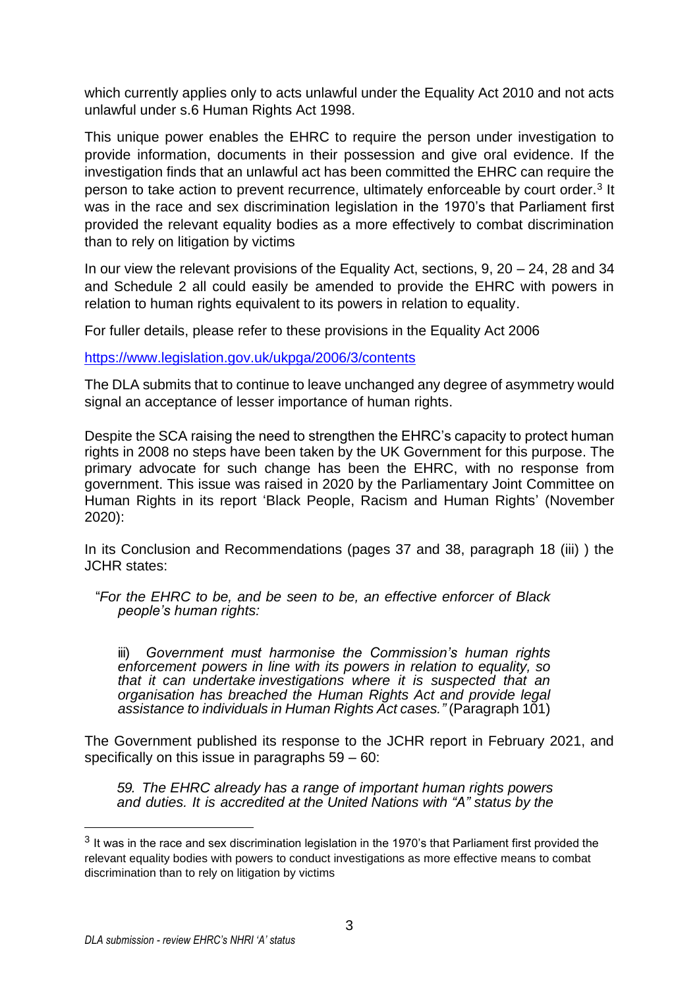which currently applies only to acts unlawful under the Equality Act 2010 and not acts unlawful under s.6 Human Rights Act 1998.

This unique power enables the EHRC to require the person under investigation to provide information, documents in their possession and give oral evidence. If the investigation finds that an unlawful act has been committed the EHRC can require the person to take action to prevent recurrence, ultimately enforceable by court order.<sup>3</sup> It was in the race and sex discrimination legislation in the 1970's that Parliament first provided the relevant equality bodies as a more effectively to combat discrimination than to rely on litigation by victims

In our view the relevant provisions of the Equality Act, sections,  $9, 20 - 24, 28$  and 34 and Schedule 2 all could easily be amended to provide the EHRC with powers in relation to human rights equivalent to its powers in relation to equality.

For fuller details, please refer to these provisions in the Equality Act 2006

<https://www.legislation.gov.uk/ukpga/2006/3/contents>

The DLA submits that to continue to leave unchanged any degree of asymmetry would signal an acceptance of lesser importance of human rights.

Despite the SCA raising the need to strengthen the EHRC's capacity to protect human rights in 2008 no steps have been taken by the UK Government for this purpose. The primary advocate for such change has been the EHRC, with no response from government. This issue was raised in 2020 by the Parliamentary Joint Committee on Human Rights in its report 'Black People, Racism and Human Rights' (November 2020):

In its Conclusion and Recommendations (pages 37 and 38, paragraph 18 (iii) ) the JCHR states:

 "*[For the EHRC to be, and be seen to be, an effective enforcer of Black](about:blank?compose#_bookmark33)  [people's human](about:blank?compose#_bookmark33) [rights:](about:blank?compose#_bookmark33)*

iii) *[Government must harmonise the Commission's human rights](about:blank?compose#_bookmark36)  [enforcement](about:blank?compose#_bookmark36) powers in line with its powers in relation to [equality,](about:blank?compose#_bookmark36) so that it can [undertake](about:blank?compose#_bookmark36) [investigations where it is suspected that an](about:blank?compose#_bookmark36)  [organisation has breached the](about:blank?compose#_bookmark36) [Human Rights Act and provide legal](about:blank?compose#_bookmark36)  [assistance to individuals in Human](about:blank?compose#_bookmark36) Rights Act [cases."](about:blank?compose#_bookmark36)* (Paragraph 101)

The Government published its response to the JCHR report in February 2021, and specifically on this issue in paragraphs 59 – 60:

*59. The EHRC already has a range of important human rights powers and duties. It is accredited at the United Nations with "A" status by the*

 $^3$  It was in the race and sex discrimination legislation in the 1970's that Parliament first provided the relevant equality bodies with powers to conduct investigations as more effective means to combat discrimination than to rely on litigation by victims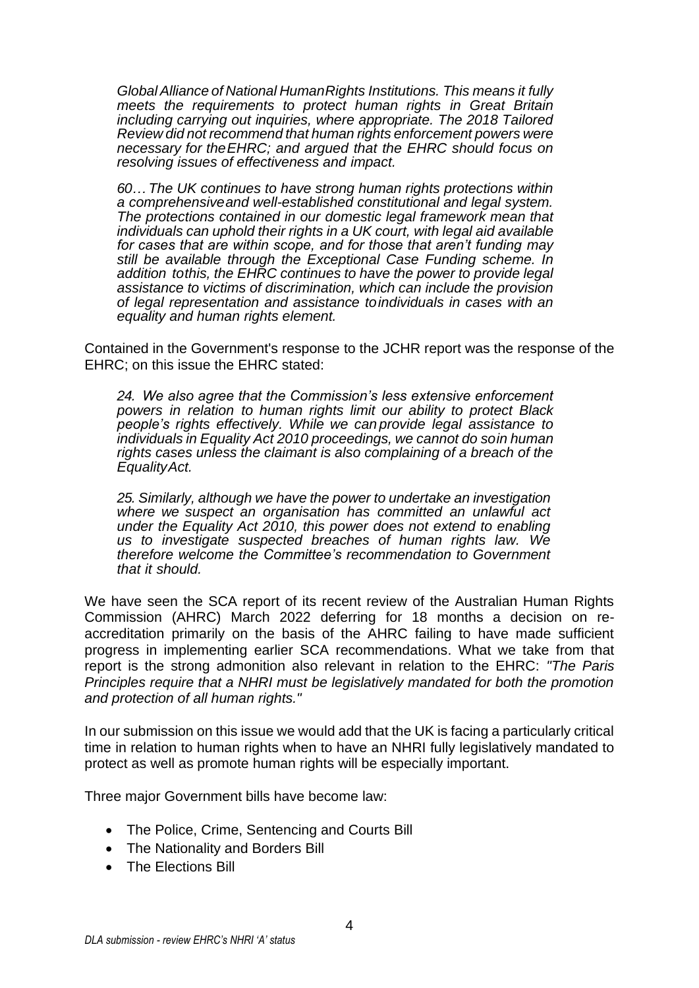*Global Alliance of National HumanRights Institutions. This means it fully meets the requirements to protect human rights in Great Britain including carrying out inquiries, where appropriate. The 2018 Tailored Review did not recommend that human rights enforcement powers were necessary for theEHRC; and argued that the EHRC should focus on resolving issues of effectiveness and impact.*

*60… The UK continues to have strong human rights protections within a comprehensiveand well-established constitutional and legal system. The protections contained in our domestic legal framework mean that individuals can uphold their rights in a UK court, with legal aid available for cases that are within scope, and for those that aren't funding may still be available through the Exceptional Case Funding scheme. In addition tothis, the EHRC continues to have the power to provide legal assistance to victims of discrimination, which can include the provision of legal representation and assistance toindividuals in cases with an equality and human rights element.*

Contained in the Government's response to the JCHR report was the response of the EHRC; on this issue the EHRC stated:

*24. We also agree that the Commission's less extensive enforcement powers in relation to human rights limit our ability to protect Black people's rights effectively. While we can provide legal assistance to individuals in Equality Act 2010 proceedings, we cannot do soin human rights cases unless the claimant is also complaining of a breach of the EqualityAct.*

*25. Similarly, although we have the power to undertake an investigation where we suspect an organisation has committed an unlawful act under the Equality Act 2010, this power does not extend to enabling us to investigate suspected breaches of human rights law. We therefore welcome the Committee's recommendation to Government that it should.*

We have seen the SCA report of its recent review of the Australian Human Rights Commission (AHRC) March 2022 deferring for 18 months a decision on reaccreditation primarily on the basis of the AHRC failing to have made sufficient progress in implementing earlier SCA recommendations. What we take from that report is the strong admonition also relevant in relation to the EHRC: *"The Paris Principles require that a NHRI must be legislatively mandated for both the promotion and protection of all human rights."*

In our submission on this issue we would add that the UK is facing a particularly critical time in relation to human rights when to have an NHRI fully legislatively mandated to protect as well as promote human rights will be especially important.

Three major Government bills have become law:

- The Police, Crime, Sentencing and Courts Bill
- The Nationality and Borders Bill
- The Elections Bill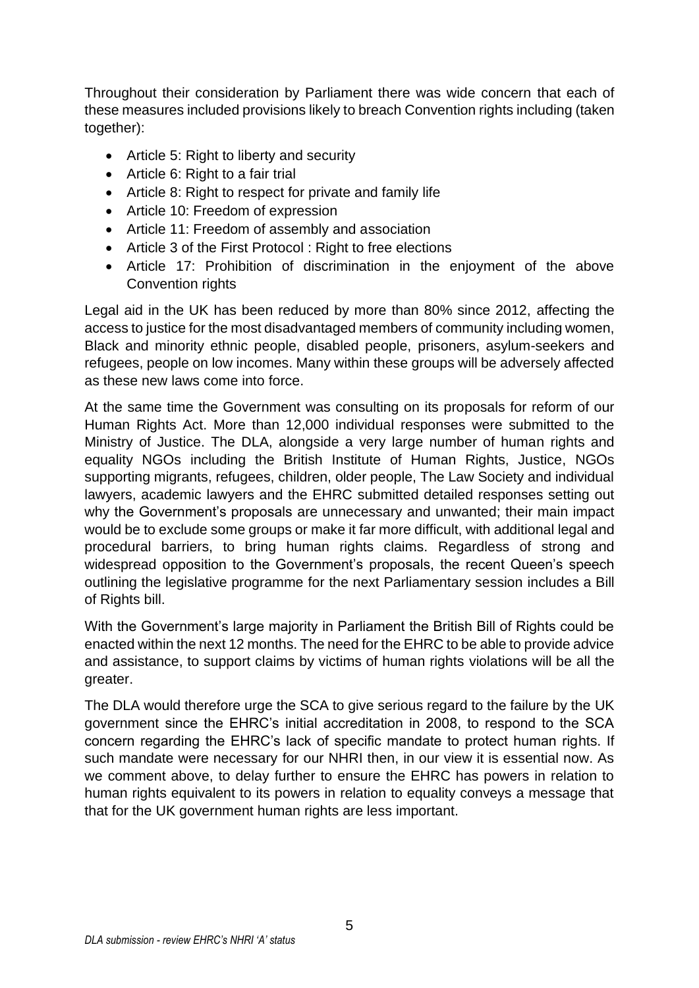Throughout their consideration by Parliament there was wide concern that each of these measures included provisions likely to breach Convention rights including (taken together):

- Article 5: Right to liberty and security
- Article 6: Right to a fair trial
- Article 8: Right to respect for private and family life
- Article 10: Freedom of expression
- Article 11: Freedom of assembly and association
- Article 3 of the First Protocol : Right to free elections
- Article 17: Prohibition of discrimination in the enjoyment of the above Convention rights

Legal aid in the UK has been reduced by more than 80% since 2012, affecting the access to justice for the most disadvantaged members of community including women, Black and minority ethnic people, disabled people, prisoners, asylum-seekers and refugees, people on low incomes. Many within these groups will be adversely affected as these new laws come into force.

At the same time the Government was consulting on its proposals for reform of our Human Rights Act. More than 12,000 individual responses were submitted to the Ministry of Justice. The DLA, alongside a very large number of human rights and equality NGOs including the British Institute of Human Rights, Justice, NGOs supporting migrants, refugees, children, older people, The Law Society and individual lawyers, academic lawyers and the EHRC submitted detailed responses setting out why the Government's proposals are unnecessary and unwanted; their main impact would be to exclude some groups or make it far more difficult, with additional legal and procedural barriers, to bring human rights claims. Regardless of strong and widespread opposition to the Government's proposals, the recent Queen's speech outlining the legislative programme for the next Parliamentary session includes a Bill of Rights bill.

With the Government's large majority in Parliament the British Bill of Rights could be enacted within the next 12 months. The need for the EHRC to be able to provide advice and assistance, to support claims by victims of human rights violations will be all the greater.

The DLA would therefore urge the SCA to give serious regard to the failure by the UK government since the EHRC's initial accreditation in 2008, to respond to the SCA concern regarding the EHRC's lack of specific mandate to protect human rights. If such mandate were necessary for our NHRI then, in our view it is essential now. As we comment above, to delay further to ensure the EHRC has powers in relation to human rights equivalent to its powers in relation to equality conveys a message that that for the UK government human rights are less important.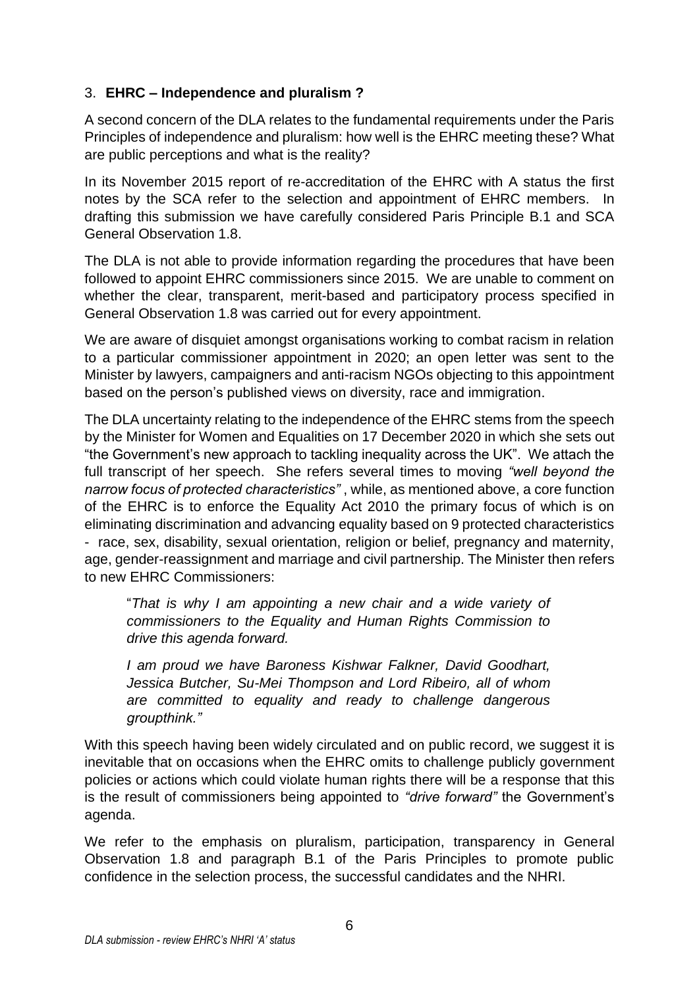# 3. **EHRC – Independence and pluralism ?**

A second concern of the DLA relates to the fundamental requirements under the Paris Principles of independence and pluralism: how well is the EHRC meeting these? What are public perceptions and what is the reality?

In its November 2015 report of re-accreditation of the EHRC with A status the first notes by the SCA refer to the selection and appointment of EHRC members. In drafting this submission we have carefully considered Paris Principle B.1 and SCA General Observation 1.8.

The DLA is not able to provide information regarding the procedures that have been followed to appoint EHRC commissioners since 2015. We are unable to comment on whether the clear, transparent, merit-based and participatory process specified in General Observation 1.8 was carried out for every appointment.

We are aware of disquiet amongst organisations working to combat racism in relation to a particular commissioner appointment in 2020; an open letter was sent to the Minister by lawyers, campaigners and anti-racism NGOs objecting to this appointment based on the person's published views on diversity, race and immigration.

The DLA uncertainty relating to the independence of the EHRC stems from the speech by the Minister for Women and Equalities on 17 December 2020 in which she sets out "the Government's new approach to tackling inequality across the UK". We attach the full transcript of her speech. She refers several times to moving *"well beyond the narrow focus of protected characteristics"* , while, as mentioned above, a core function of the EHRC is to enforce the Equality Act 2010 the primary focus of which is on eliminating discrimination and advancing equality based on 9 protected characteristics - race, sex, disability, sexual orientation, religion or belief, pregnancy and maternity, age, gender-reassignment and marriage and civil partnership. The Minister then refers to new EHRC Commissioners:

"*That is why I am appointing a new chair and a wide variety of commissioners to the Equality and Human Rights Commission to drive this agenda forward.*

*I am proud we have Baroness Kishwar Falkner, David Goodhart, Jessica Butcher, Su-Mei Thompson and Lord Ribeiro, all of whom are committed to equality and ready to challenge dangerous groupthink."* 

With this speech having been widely circulated and on public record, we suggest it is inevitable that on occasions when the EHRC omits to challenge publicly government policies or actions which could violate human rights there will be a response that this is the result of commissioners being appointed to *"drive forward"* the Government's agenda.

We refer to the emphasis on pluralism, participation, transparency in General Observation 1.8 and paragraph B.1 of the Paris Principles to promote public confidence in the selection process, the successful candidates and the NHRI.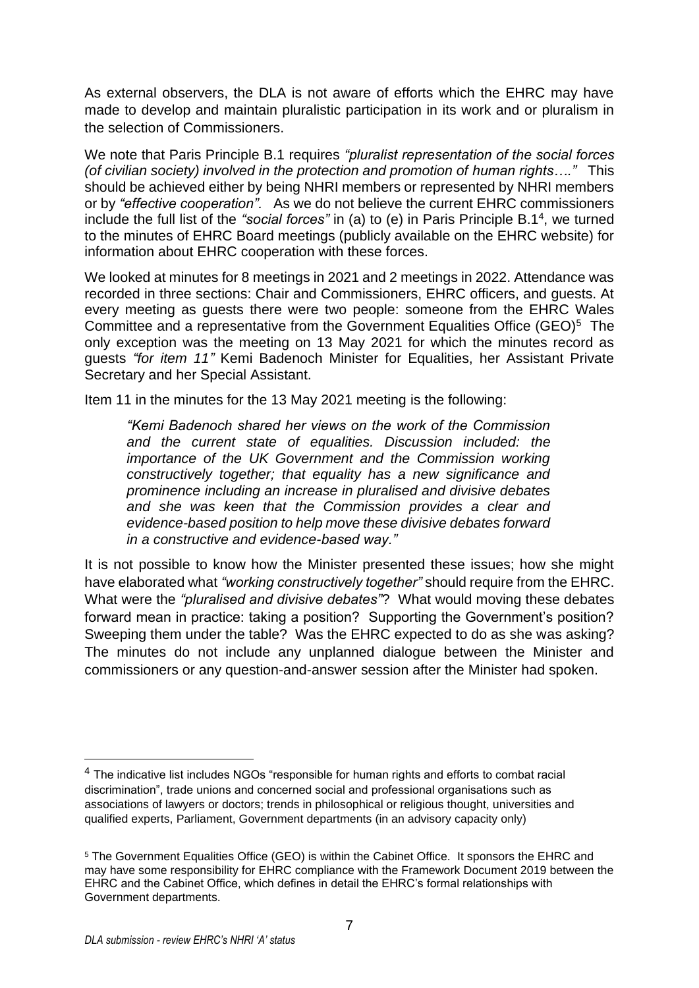As external observers, the DLA is not aware of efforts which the EHRC may have made to develop and maintain pluralistic participation in its work and or pluralism in the selection of Commissioners.

We note that Paris Principle B.1 requires *"pluralist representation of the social forces (of civilian society) involved in the protection and promotion of human rights…."* This should be achieved either by being NHRI members or represented by NHRI members or by *"effective cooperation".* As we do not believe the current EHRC commissioners include the full list of the "social forces" in (a) to (e) in Paris Principle B.1<sup>4</sup>, we turned to the minutes of EHRC Board meetings (publicly available on the EHRC website) for information about EHRC cooperation with these forces.

We looked at minutes for 8 meetings in 2021 and 2 meetings in 2022. Attendance was recorded in three sections: Chair and Commissioners, EHRC officers, and guests. At every meeting as guests there were two people: someone from the EHRC Wales Committee and a representative from the Government Equalities Office (GEO)<sup>5</sup> The only exception was the meeting on 13 May 2021 for which the minutes record as guests *"for item 11"* Kemi Badenoch Minister for Equalities, her Assistant Private Secretary and her Special Assistant.

Item 11 in the minutes for the 13 May 2021 meeting is the following:

*"Kemi Badenoch shared her views on the work of the Commission and the current state of equalities. Discussion included: the importance of the UK Government and the Commission working constructively together; that equality has a new significance and prominence including an increase in pluralised and divisive debates and she was keen that the Commission provides a clear and evidence-based position to help move these divisive debates forward in a constructive and evidence-based way."*

It is not possible to know how the Minister presented these issues; how she might have elaborated what *"working constructively together"* should require from the EHRC. What were the *"pluralised and divisive debates"*? What would moving these debates forward mean in practice: taking a position? Supporting the Government's position? Sweeping them under the table? Was the EHRC expected to do as she was asking? The minutes do not include any unplanned dialogue between the Minister and commissioners or any question-and-answer session after the Minister had spoken.

<sup>&</sup>lt;sup>4</sup> The indicative list includes NGOs "responsible for human rights and efforts to combat racial discrimination", trade unions and concerned social and professional organisations such as associations of lawyers or doctors; trends in philosophical or religious thought, universities and qualified experts, Parliament, Government departments (in an advisory capacity only)

<sup>5</sup> The Government Equalities Office (GEO) is within the Cabinet Office. It sponsors the EHRC and may have some responsibility for EHRC compliance with the Framework Document 2019 between the EHRC and the Cabinet Office, which defines in detail the EHRC's formal relationships with Government departments.